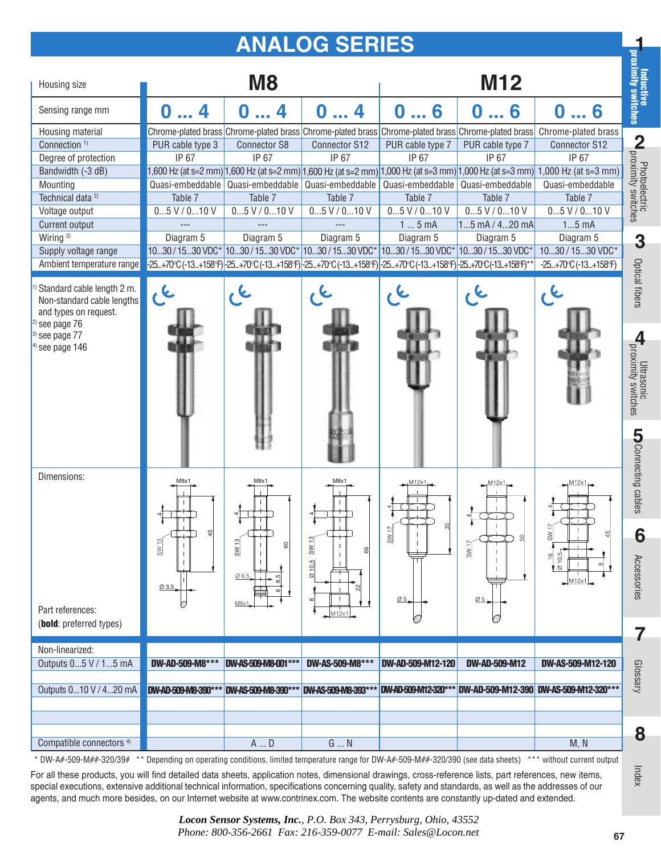## **ANALOG SERIES**

| Housing size                                                                                                   |                                        | M <sub>8</sub>                             |                                        |                                                                                                            | M12                                                            |                                                                                                                               | Inductive<br>dimity switches   |
|----------------------------------------------------------------------------------------------------------------|----------------------------------------|--------------------------------------------|----------------------------------------|------------------------------------------------------------------------------------------------------------|----------------------------------------------------------------|-------------------------------------------------------------------------------------------------------------------------------|--------------------------------|
| Sensing range mm                                                                                               | O                                      | 4                                          | O                                      | O<br>6                                                                                                     | 06                                                             | 06                                                                                                                            |                                |
| Housing material                                                                                               |                                        |                                            |                                        | Chrome-plated brass Chrome-plated brass Chrome-plated brass Chrome-plated brass Chrome-plated brass        |                                                                | Chrome-plated brass                                                                                                           |                                |
| Connection <sup>1)</sup>                                                                                       | PUR cable type 3                       | <b>Connector S8</b>                        | Connector S12                          | PUR cable type 7                                                                                           | PUR cable type 7                                               | Connector S12                                                                                                                 |                                |
| Degree of protection                                                                                           | IP 67                                  | IP 67                                      | IP 67                                  | IP 67                                                                                                      | IP 67                                                          | IP 67                                                                                                                         |                                |
| Bandwidth (-3 dB)                                                                                              |                                        |                                            |                                        |                                                                                                            |                                                                | (,600 Hz (at s=2 mm) 1,600 Hz (at s=2 mm) 1,600 Hz (at s=2 mm) 1,000 Hz (at s=3 mm) 1,000 Hz (at s=3 mm) 1,000 Hz (at s=3 mm) |                                |
| Mounting                                                                                                       | Quasi-embeddable                       | Quasi-embeddable                           | Quasi-embeddable                       |                                                                                                            | Quasi-embeddable Quasi-embeddable                              | Quasi-embeddable                                                                                                              |                                |
| Technical data <sup>2)</sup>                                                                                   | Table 7                                | Table 7                                    | Table 7                                | Table 7                                                                                                    | Table 7                                                        | Table 7                                                                                                                       |                                |
| Voltage output                                                                                                 | $05$ V / $010$ V                       | $05$ V / $010$ V                           | $05$ V / $010$ V                       | $05$ V / $010$ V                                                                                           | $05$ V / $010$ V                                               | $05$ V / $010$ V                                                                                                              | <b>M</b> proximity switches    |
| Current output                                                                                                 |                                        |                                            |                                        | 15mA                                                                                                       | $15$ mA / $420$ mA                                             | $15$ mA                                                                                                                       |                                |
| Wiring <sup>3)</sup>                                                                                           | Diagram 5                              | Diagram 5                                  | Diagram 5                              | Diagram 5                                                                                                  | Diagram 5                                                      | Diagram 5                                                                                                                     | 3                              |
| Supply voltage range                                                                                           |                                        |                                            |                                        | 1030 / 1530 VDC* 1030 / 1530 VDC* 1030 / 1530 VDC* 1030 / 1530 VDC* 1030 / 1530 VDC*                       |                                                                | 1030 / 1530 VDC*                                                                                                              |                                |
| Ambient temperature range                                                                                      |                                        |                                            |                                        | -25+70°C (-13+158°F) -25+70°C (-13+158°F) -25+70°C (-13+158°F) -25+70°C (-13+158°F) -25+70°C (-13+158°F)** |                                                                | $-25+70$ °C (-13+158°F)                                                                                                       |                                |
| Standard cable length 2 m.<br>Non-standard cable lengths<br>and types on request.<br><sup>2)</sup> see page 76 |                                        |                                            |                                        |                                                                                                            |                                                                |                                                                                                                               | Optical fibers                 |
| $3)$ see page $77$<br>$4)$ see page 146                                                                        |                                        |                                            |                                        |                                                                                                            |                                                                |                                                                                                                               | <b>H</b><br>Proximity switches |
|                                                                                                                |                                        |                                            |                                        |                                                                                                            |                                                                |                                                                                                                               | <b>COnnecting cables</b>       |
| Dimensions:                                                                                                    | M8x1                                   | M8x <sup>.</sup>                           | M8x1                                   |                                                                                                            | M12x                                                           |                                                                                                                               |                                |
|                                                                                                                |                                        |                                            |                                        |                                                                                                            |                                                                |                                                                                                                               |                                |
|                                                                                                                | SW 13                                  | SW 13<br>8                                 | $\frac{SW13}{2}$<br>8                  | $\frac{5}{20}$                                                                                             | SW <sub>17</sub>                                               |                                                                                                                               | O                              |
|                                                                                                                | $Q$ 3,5                                | 06,5<br>8,5<br>M8x                         | $Q$ 10,5<br>$\infty$                   | $\overline{\omega}$ 5                                                                                      | Ø <sub>5</sub>                                                 | $\frac{1}{2}$<br>10,5<br>† ⊗<br>M12x                                                                                          | Accessories                    |
| Part references:                                                                                               |                                        |                                            | M12x1                                  |                                                                                                            |                                                                |                                                                                                                               |                                |
| (bold: preferred types)                                                                                        |                                        |                                            |                                        |                                                                                                            |                                                                |                                                                                                                               | 7                              |
|                                                                                                                |                                        |                                            |                                        |                                                                                                            |                                                                |                                                                                                                               |                                |
| Non-linearized:<br>Outputs 05 V / 15 mA<br>Outputs 010 V / 420 mA                                              | DW-AD-509-M8***<br>DW-AD-509-M8-390*** | DW-AS-509-M8-001***<br>DW-AS-509-M8-390*** | DW-AS-509-M8***<br>DW-AS-509-M8-393*** | DW-AD-509-M12-120                                                                                          | <b>DW-AD-509-M12</b><br>DW-AD-509-M12-320*** DW-AD-509-M12-390 | DW-AS-509-M12-120<br>DW-AS-509-M12-320***                                                                                     | Glossary                       |
|                                                                                                                |                                        |                                            |                                        |                                                                                                            |                                                                |                                                                                                                               |                                |
|                                                                                                                |                                        |                                            |                                        |                                                                                                            |                                                                |                                                                                                                               |                                |
|                                                                                                                |                                        |                                            |                                        |                                                                                                            |                                                                |                                                                                                                               |                                |
| Compatible connectors <sup>4)</sup>                                                                            |                                        | A  D                                       | $G \dots N$                            |                                                                                                            |                                                                | M, N                                                                                                                          | 8                              |
| DW-A#-509-M##-320/39#                                                                                          |                                        |                                            |                                        | Depending on operating conditions, limited temperature range for DW-A#-509-M##-320/390 (see data sheets)   |                                                                | *** without current output                                                                                                    |                                |

For all these products, you will find detailed data sheets, application notes, dimensional drawings, cross-reference lists, part references, new items, special executions, extensive additional technical information, specifications concerning quality, safety and standards, as well as the addresses of our agents, and much more besides, on our Internet website at www.contrinex.com. The website contents are constantly up-dated and extended.

> *Locon Sensor Systems, Inc.*, *P.O. Box 343, Perrysburg, Ohio, 43552 Phone: 800-356-2661 Fax: 216-359-0077 E-mail: Sales@Locon.net*

Index

**1**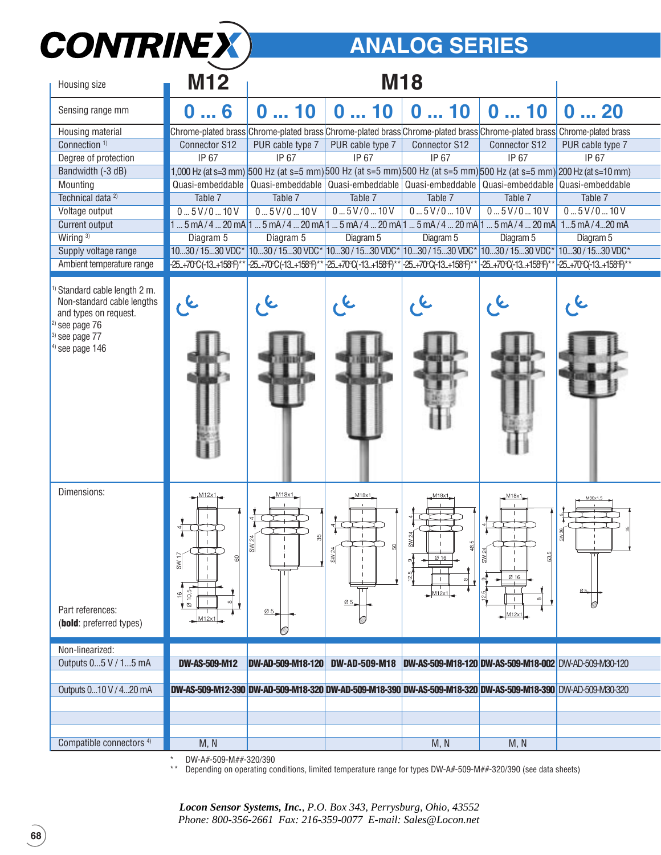

## **ANALOG SERIES**

| Housing size                                                                                                                                       | <b>M12</b>                                                                                                                       |                                |                               | <b>M18</b>                                                                                                                    |                                     |                          |
|----------------------------------------------------------------------------------------------------------------------------------------------------|----------------------------------------------------------------------------------------------------------------------------------|--------------------------------|-------------------------------|-------------------------------------------------------------------------------------------------------------------------------|-------------------------------------|--------------------------|
| Sensing range mm                                                                                                                                   | 6<br>0                                                                                                                           | 10<br>0                        | 10<br>0                       | 10<br>O                                                                                                                       | 10<br>0                             | 20<br>$\bf{0}$           |
| Housing material                                                                                                                                   |                                                                                                                                  |                                |                               | Chrome-plated brass Chrome-plated brass Chrome-plated brass Chrome-plated brass Chrome-plated brass Chrome-plated brass       |                                     |                          |
| Connection <sup>1)</sup>                                                                                                                           | Connector S12                                                                                                                    | PUR cable type 7               | PUR cable type 7              | <b>Connector S12</b>                                                                                                          | <b>Connector S12</b>                | PUR cable type 7         |
| Degree of protection                                                                                                                               | IP 67                                                                                                                            | IP 67                          | IP 67                         | IP 67                                                                                                                         | IP 67                               | IP 67                    |
| Bandwidth (-3 dB)                                                                                                                                  |                                                                                                                                  |                                |                               | 1,000 Hz (at s=3 mm) 500 Hz (at s=5 mm) 500 Hz (at s=5 mm) 500 Hz (at s=5 mm) 500 Hz (at s=5 mm) 200 Hz (at s=10 mm)          |                                     |                          |
| Mounting                                                                                                                                           | Quasi-embeddable                                                                                                                 | Quasi-embeddable               |                               | Quasi-embeddable Quasi-embeddable Quasi-embeddable                                                                            |                                     | Quasi-embeddable         |
| Technical data <sup>2)</sup>                                                                                                                       | Table 7                                                                                                                          | Table 7                        | Table 7                       | Table 7                                                                                                                       | Table 7                             | Table 7                  |
| Voltage output                                                                                                                                     | 05V/010V                                                                                                                         | 0.5V/0.10V                     | 05V/010V                      | 05V/010V                                                                                                                      | 05V/010V                            | 05V/010V                 |
| Current output                                                                                                                                     |                                                                                                                                  |                                |                               | $1$ 5 mA/4  20 mA $1$ 5 mA/4  20 mA $1$ 5 mA/4  20 mA $1$ 5 mA/4  20 mA $1$ 5 mA/4  20 mA $1$ 5 mA/4  20 mA                   |                                     |                          |
| Wiring <sup>3)</sup>                                                                                                                               | Diagram 5                                                                                                                        | Diagram 5                      | Diagram 5                     | Diagram 5                                                                                                                     | Diagram 5                           | Diagram 5                |
| Supply voltage range                                                                                                                               | 1030 / 1530 VDC*                                                                                                                 |                                |                               | 1030 / 1530 VDC* 1030 / 1530 VDC* 1030 / 1530 VDC* 1030 / 1530 VDC*                                                           |                                     | 1030/1530 VDC*           |
| Ambient temperature range                                                                                                                          | -25+70°C (-13+158°F)**                                                                                                           |                                |                               | 25+70°C(-13+158°F)** <sup>1</sup> -25+70°C(-13+158°F)** <sup>1</sup> -25+70°C(-13+158°F)** <sup>1</sup> -25+70°C(-13+158°F)** |                                     | -25+70°C(-13+158°F)**    |
| Standard cable length 2 m.<br>Non-standard cable lengths<br>and types on request.<br>$2)$ see page $76$<br>$3)$ see page $77$<br>$4)$ see page 146 |                                                                                                                                  |                                |                               |                                                                                                                               |                                     |                          |
| Dimensions:<br>Part references:<br>(bold: preferred types)                                                                                         | M <sub>12x1</sub><br>$rac{17}{2}$<br>8<br>10,5 <sub>1</sub><br>$\frac{6}{1}$<br>$\infty$<br>$\mathbf{L}^{\odot}$<br>$M12\times1$ | M18x1<br>$\overline{\omega}$ 5 | M18x1,<br>$\frac{3}{2}$<br>Ø5 | M18x1<br>SW 24<br>Ø16<br>12.5<br>M12x1                                                                                        | M18x1<br>63.5<br>흶<br>Ø 16<br>M12x1 | $\emptyset$ <sub>5</sub> |
| Non-linearized:                                                                                                                                    |                                                                                                                                  |                                |                               |                                                                                                                               |                                     |                          |
| Outputs 05 V / 15 mA                                                                                                                               | <b>DW-AS-509-M12</b>                                                                                                             | <b>DW-AD-509-M18-120</b>       | <b>DW-AD-509-M18</b>          | DW-AS-509-M18-120 DW-AS-509-M18-002 DW-AD-509-M30-120                                                                         |                                     |                          |
|                                                                                                                                                    |                                                                                                                                  |                                |                               |                                                                                                                               |                                     |                          |
| Outputs 010 V / 420 mA                                                                                                                             |                                                                                                                                  |                                |                               | DW-AS-509-M12-390 DW-AD-509-M18-320 DW-AD-509-M18-390 DW-AS-509-M18-320 DW-AS-509-M18-390 DW-AD-509-M30-320                   |                                     |                          |
|                                                                                                                                                    |                                                                                                                                  |                                |                               |                                                                                                                               |                                     |                          |
|                                                                                                                                                    |                                                                                                                                  |                                |                               |                                                                                                                               |                                     |                          |
|                                                                                                                                                    |                                                                                                                                  |                                |                               |                                                                                                                               |                                     |                          |
| Compatible connectors <sup>4)</sup>                                                                                                                | M, N                                                                                                                             |                                |                               | M, N                                                                                                                          | M, N                                |                          |

\* DW-A#-509-M##-320/390

\*\* Depending on operating conditions, limited temperature range for types DW-A#-509-M##-320/390 (see data sheets)

*Locon Sensor Systems, Inc.*, *P.O. Box 343, Perrysburg, Ohio, 43552 Phone: 800-356-2661 Fax: 216-359-0077 E-mail: Sales@Locon.net*